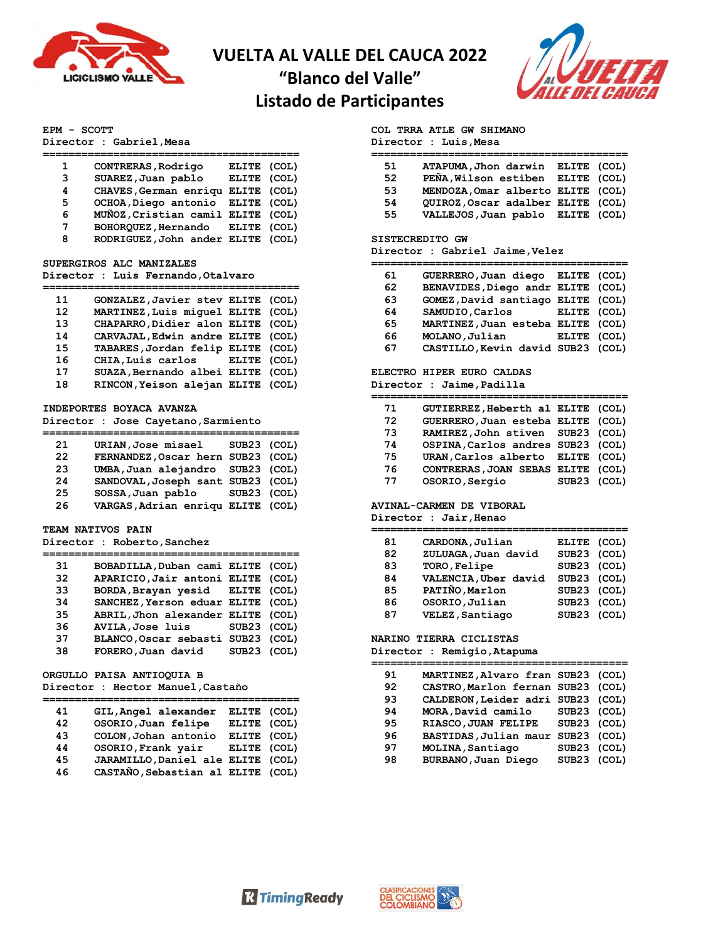

## **VUELTA AL VALLE DEL CAUCA 2022**

 $=$ 

"Blanco del Valle"



# Listado de Participantes

## EPM - SCOTT

Director : Gabriel, Mesa

| 1 | CONTRERAS, Rodrigo                | ELITE (COL) |  |
|---|-----------------------------------|-------------|--|
| 3 | SUAREZ, Juan pablo                | ELITE (COL) |  |
| 4 | CHAVES, German enriqu ELITE (COL) |             |  |
| 5 | OCHOA, Diego antonio ELITE (COL)  |             |  |
| 6 | MUÑOZ, Cristian camil ELITE (COL) |             |  |
| 7 | BOHORQUEZ, Hernando ELITE (COL)   |             |  |
| 8 | RODRIGUEZ, John ander ELITE (COL) |             |  |

#### SUPERGIROS ALC MANIZALES

#### Director : Luis Fernando, Otalvaro

| 11 | GONZALEZ, Javier stev ELITE (COL) |  |
|----|-----------------------------------|--|
| 12 | MARTINEZ, Luis miquel ELITE (COL) |  |
| 13 | CHAPARRO, Didier alon ELITE (COL) |  |
| 14 | CARVAJAL, Edwin andre ELITE (COL) |  |
| 15 | TABARES, Jordan felip ELITE (COL) |  |
| 16 | CHIA, Luis carlos ELITE (COL)     |  |
| 17 | SUAZA, Bernando albei ELITE (COL) |  |
| 18 | RINCON, Yeison alejan ELITE (COL) |  |
|    |                                   |  |

### INDEPORTES BOYACA AVANZA

Director : Jose Cayetano, Sarmiento

| 21 | URIAN, Jose misael                | SUB23 (COL) |  |
|----|-----------------------------------|-------------|--|
| 22 | FERNANDEZ, Oscar hern SUB23 (COL) |             |  |
| 23 | UMBA, Juan alejandro SUB23 (COL)  |             |  |
| 24 | SANDOVAL, Joseph sant SUB23 (COL) |             |  |
| 25 | SOSSA, Juan pablo                 | SUB23 (COL) |  |
| 26 | VARGAS, Adrian enriqu ELITE (COL) |             |  |

#### TEAM NATIVOS PAIN

 $\equiv$ 

## Director : Roberto, Sanchez

| BOBADILLA, Duban cami ELITE (COL)<br>31<br>APARICIO, Jair antoni ELITE (COL)<br>32<br>BORDA, Brayan yesid ELITE (COL)<br>33<br>SANCHEZ, Yerson eduar ELITE (COL)<br>34<br>ABRIL, Jhon alexander ELITE (COL)<br>35<br>AVILA, Jose luis SUB23 (COL)<br>36<br>BLANCO, Oscar sebasti SUB23 (COL)<br>37 |    |                    |  |
|----------------------------------------------------------------------------------------------------------------------------------------------------------------------------------------------------------------------------------------------------------------------------------------------------|----|--------------------|--|
|                                                                                                                                                                                                                                                                                                    |    |                    |  |
|                                                                                                                                                                                                                                                                                                    |    |                    |  |
|                                                                                                                                                                                                                                                                                                    |    |                    |  |
|                                                                                                                                                                                                                                                                                                    |    |                    |  |
|                                                                                                                                                                                                                                                                                                    |    |                    |  |
|                                                                                                                                                                                                                                                                                                    |    |                    |  |
|                                                                                                                                                                                                                                                                                                    |    |                    |  |
| SUB23 (COL)                                                                                                                                                                                                                                                                                        | 38 | FORERO, Juan david |  |

## ORGULLO PAISA ANTIOQUIA B

## Director : Hector Manuel, Castaño

| 41 | GIL, Angel alexander              | ELITE (COL) |  |
|----|-----------------------------------|-------------|--|
| 42 | OSORIO, Juan felipe               | ELITE (COL) |  |
| 43 | COLON, Johan antonio              | ELITE (COL) |  |
| 44 | OSORIO, Frank yair                | ELITE (COL) |  |
| 45 | JARAMILLO, Daniel ale ELITE (COL) |             |  |
| 46 | CASTAÑO, Sebastian al ELITE (COL) |             |  |

## COL TRRA ATLE GW SHIMANO

Director : Luis, Mesa

| 51 | ATAPUMA, Jhon darwin ELITE (COL)  |  |
|----|-----------------------------------|--|
| 52 | PEÑA, Wilson estiben ELITE (COL)  |  |
| 53 | MENDOZA, Omar alberto ELITE (COL) |  |
| 54 | QUIROZ, Oscar adalber ELITE (COL) |  |
| 55 | VALLEJOS, Juan pablo ELITE (COL)  |  |
|    |                                   |  |

## SISTECREDITO GW

#### Director : Gabriel Jaime, Velez

| 61 | GUERRERO, Juan diego ELITE (COL)  |             |  |
|----|-----------------------------------|-------------|--|
| 62 | BENAVIDES, Diego andr ELITE (COL) |             |  |
| 63 | GOMEZ, David santiago ELITE (COL) |             |  |
| 64 | SAMUDIO, Carlos                   | ELITE (COL) |  |
| 65 | MARTINEZ, Juan esteba ELITE (COL) |             |  |
| 66 | MOLANO, Julian                    | ELITE (COL) |  |
| 67 | CASTILLO Kevin david SUB23 (COL)  |             |  |

#### ELECTRO HIPER EURO CALDAS Director: Jaime.Padilla

|  | Dilector : Jaime, Paullia |  |
|--|---------------------------|--|
|  |                           |  |

| 71 | GUTIERREZ, Heberth al ELITE (COL) |             |  |
|----|-----------------------------------|-------------|--|
| 72 | GUERRERO, Juan esteba ELITE (COL) |             |  |
| 73 | RAMIREZ, John stiven SUB23 (COL)  |             |  |
| 74 | OSPINA, Carlos andres SUB23 (COL) |             |  |
| 75 | URAN, Carlos alberto ELITE (COL)  |             |  |
| 76 | CONTRERAS, JOAN SEBAS ELITE (COL) |             |  |
| 77 | OSORIO, Sergio                    | SUB23 (COL) |  |

### **AVINAL-CARMEN DE VIBORAL**

Director : Jair, Henao

| 81 | CARDONA, Julian      | ELITE (COL) |  |
|----|----------------------|-------------|--|
| 82 | ZULUAGA, Juan david  | SUB23 (COL) |  |
| 83 | TORO, Felipe         | SUB23 (COL) |  |
| 84 | VALENCIA, Uber david | SUB23 (COL) |  |
| 85 | PATIÑO, Marlon       | SUB23 (COL) |  |
| 86 | OSORIO, Julian       | SUB23 (COL) |  |
| 87 | VELEZ, Santiago      | SUB23 (COL) |  |
|    |                      |             |  |

#### NARINO TIERRA CICLISTAS

Director : Remigio, Atapuma

| 91 | MARTINEZ, Alvaro fran SUB23 (COL) |             |  |
|----|-----------------------------------|-------------|--|
| 92 | CASTRO, Marlon fernan SUB23 (COL) |             |  |
| 93 | CALDERON, Leider adri SUB23 (COL) |             |  |
| 94 | MORA, David camilo                | SUB23 (COL) |  |
| 95 | RIASCO, JUAN FELIPE               | SUB23 (COL) |  |
| 96 | BASTIDAS, Julian maur             | SUB23 (COL) |  |
| 97 | MOLINA, Santiago                  | SUB23 (COL) |  |
| 98 | BURBANO, Juan Diego               | SUB23 (COL) |  |
|    |                                   |             |  |

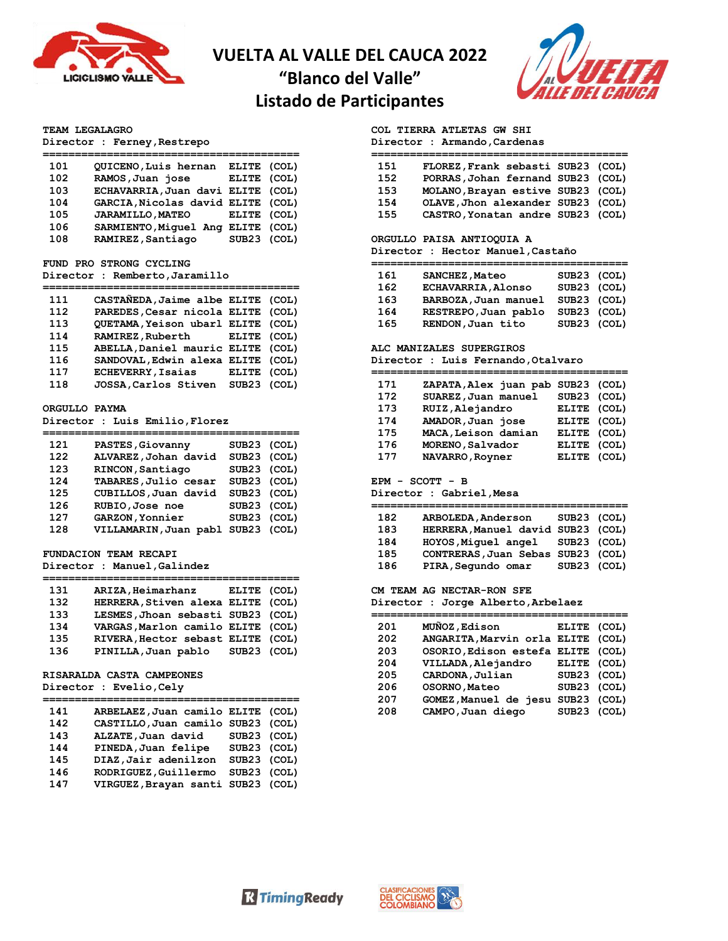

## **VUELTA AL VALLE DEL CAUCA 2022**

**"Blanco del Valle"**

## **Listado de Participantes**



#### **TEAM LEGALAGRO**

**Director : Ferney,Restrepo**

| 101 | QUICENO, Luis hernan              | ELITE (COL) |  |
|-----|-----------------------------------|-------------|--|
| 102 | RAMOS, Juan jose                  | ELITE (COL) |  |
| 103 | ECHAVARRIA, Juan davi ELITE (COL) |             |  |
| 104 | GARCIA, Nicolas david ELITE (COL) |             |  |
| 105 | <b>JARAMILLO, MATEO</b>           | ELITE (COL) |  |
| 106 | SARMIENTO, Miquel Ang             | ELITE (COL) |  |
| 108 | RAMIREZ, Santiago                 | SUB23 (COL) |  |
|     |                                   |             |  |

#### **FUND PRO STRONG CYCLING**

**Director : Remberto,Jaramillo**

| 111 | CASTAÑEDA, Jaime albe ELITE (COL) |             |  |
|-----|-----------------------------------|-------------|--|
| 112 | PAREDES, Cesar nicola ELITE (COL) |             |  |
| 113 | OUETAMA, Yeison ubarl ELITE (COL) |             |  |
| 114 | RAMIREZ, Ruberth ELITE (COL)      |             |  |
| 115 | ABELLA, Daniel mauric ELITE (COL) |             |  |
| 116 | SANDOVAL, Edwin alexa ELITE (COL) |             |  |
| 117 | <b>ECHEVERRY, Isaias</b>          | ELITE (COL) |  |
| 118 | JOSSA, Carlos Stiven              | SUB23 (COL) |  |
|     |                                   |             |  |

### **ORGULLO PAYMA**

**Director : Luis Emilio,Florez**

| 121 | PASTES, Giovanny      | SUB23 (COL) |  |
|-----|-----------------------|-------------|--|
| 122 | ALVAREZ, Johan david  | SUB23 (COL) |  |
| 123 | RINCON, Santiago      | SUB23 (COL) |  |
| 124 | TABARES, Julio cesar  | SUB23 (COL) |  |
| 125 | CUBILLOS, Juan david  | SUB23 (COL) |  |
| 126 | RUBIO, Jose noe       | SUB23 (COL) |  |
| 127 | GARZON, Yonnier       | SUB23 (COL) |  |
| 128 | VILLAMARIN, Juan pabl | SUB23 (COL) |  |
|     |                       |             |  |

## **FUNDACION TEAM RECAPI**

### **Director : Manuel,Galindez**

| 131 | ARIZA, Heimarhanz                 | ELITE (COL) |  |
|-----|-----------------------------------|-------------|--|
| 132 | HERRERA, Stiven alexa ELITE (COL) |             |  |
| 133 | LESMES, Jhoan sebasti SUB23 (COL) |             |  |
| 134 | VARGAS, Marlon camilo ELITE (COL) |             |  |
| 135 | RIVERA, Hector sebast ELITE (COL) |             |  |
| 136 | PINILLA, Juan pablo               | SUB23 (COL) |  |
|     |                                   |             |  |

## **RISARALDA CASTA CAMPEONES**

**Director : Evelio,Cely**

| 141 | ARBELAEZ, Juan camilo ELITE (COL) |             |  |
|-----|-----------------------------------|-------------|--|
| 142 | CASTILLO, Juan camilo SUB23 (COL) |             |  |
| 143 | ALZATE, Juan david                | SUB23 (COL) |  |
| 144 | PINEDA, Juan felipe               | SUB23 (COL) |  |
| 145 | DIAZ, Jair adenilzon              | SUB23 (COL) |  |
| 146 | RODRIGUEZ, Guillermo              | SUB23 (COL) |  |
| 147 | VIRGUEZ, Brayan santi SUB23 (COL) |             |  |
|     |                                   |             |  |

## **COL TIERRA ATLETAS GW SHI**

**Director : Armando,Cardenas**

| FLOREZ, Frank sebasti SUB23 (COL)<br>151 |  |
|------------------------------------------|--|
| 152<br>PORRAS, Johan fernand SUB23 (COL) |  |
| 153<br>MOLANO, Brayan estive SUB23 (COL) |  |
| OLAVE, Jhon alexander SUB23 (COL)<br>154 |  |
| 155<br>CASTRO, Yonatan andre SUB23 (COL) |  |

#### **ORGULLO PAISA ANTIOQUIA A**

**Director : Hector Manuel,Castaño**

| 161 | SANCHEZ, Mateo            | SUB23 (COL) |  |
|-----|---------------------------|-------------|--|
| 162 | <b>ECHAVARRIA, Alonso</b> | SUB23 (COL) |  |
| 163 | BARBOZA, Juan manuel      | SUB23 (COL) |  |
| 164 | RESTREPO, Juan pablo      | SUB23 (COL) |  |
| 165 | RENDON, Juan tito         | SUB23 (COL) |  |

#### **ALC MANIZALES SUPERGIROS**

**Director : Luis Fernando,Otalvaro**

| 171 | ZAPATA, Alex juan pab | SUB23 (COL) |  |
|-----|-----------------------|-------------|--|
| 172 | SUAREZ, Juan manuel   | SUB23 (COL) |  |
| 173 | RUIZ, Alejandro       | ELITE (COL) |  |
| 174 | AMADOR, Juan jose     | ELITE (COL) |  |
| 175 | MACA, Leison damian   | ELITE (COL) |  |
| 176 | MORENO, Salvador      | ELITE (COL) |  |
| 177 | NAVARRO, Royner       | ELITE (COL) |  |
|     |                       |             |  |

**EPM - SCOTT - B**

**Director : Gabriel,Mesa**

| 182<br>183 | ARBOLEDA, Anderson<br>HERRERA, Manuel david SUB23 (COL) | SUB23 (COL) |  |
|------------|---------------------------------------------------------|-------------|--|
| 184        | HOYOS, Miquel angel SUB23 (COL)                         |             |  |
| 185<br>186 | CONTRERAS, Juan Sebas SUB23 (COL)<br>PIRA, Segundo omar | SUB23 (COL) |  |
|            |                                                         |             |  |

**CM TEAM AG NECTAR-RON SFE**

**Director : Jorge Alberto,Arbelaez**

| 201 | MUÑOZ, Edison                     | ELITE (COL) |  |
|-----|-----------------------------------|-------------|--|
| 202 | ANGARITA, Marvin orla ELITE (COL) |             |  |
| 203 | OSORIO, Edison estefa ELITE (COL) |             |  |
| 204 | VILLADA, Alejandro                | ELITE (COL) |  |
| 205 | CARDONA, Julian                   | SUB23 (COL) |  |
| 206 | OSORNO, Mateo                     | SUB23 (COL) |  |
| 207 | GOMEZ, Manuel de jesu             | SUB23 (COL) |  |
| 208 | CAMPO, Juan diego                 | SUB23 (COL) |  |